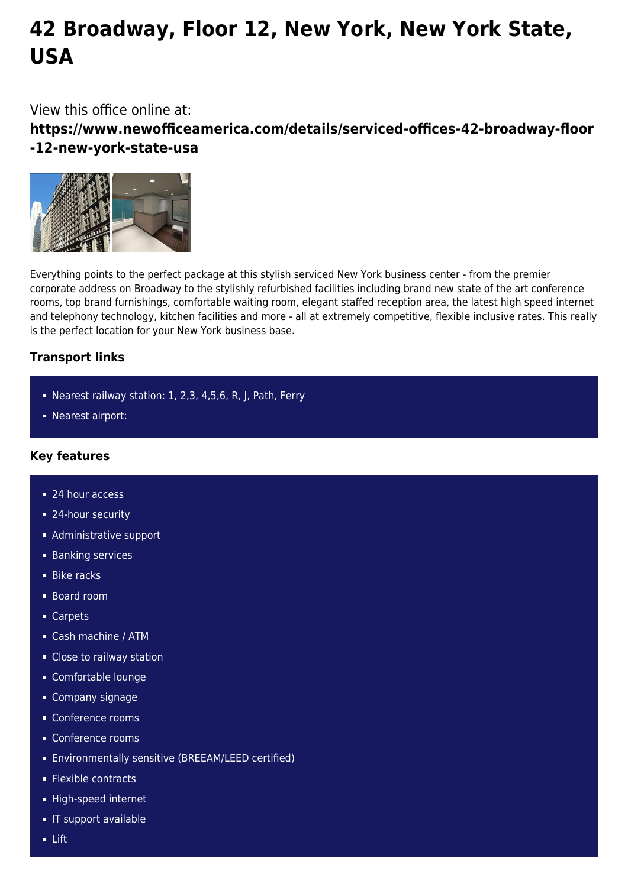# **42 Broadway, Floor 12, New York, New York State, USA**

## View this office online at:

**https://www.newofficeamerica.com/details/serviced-offices-42-broadway-floor -12-new-york-state-usa**



Everything points to the perfect package at this stylish serviced New York business center - from the premier corporate address on Broadway to the stylishly refurbished facilities including brand new state of the art conference rooms, top brand furnishings, comfortable waiting room, elegant staffed reception area, the latest high speed internet and telephony technology, kitchen facilities and more - all at extremely competitive, flexible inclusive rates. This really is the perfect location for your New York business base.

## **Transport links**

- Nearest railway station: 1, 2,3, 4,5,6, R, J, Path, Ferry
- Nearest airport:

## **Key features**

- 24 hour access
- 24-hour security
- **Administrative support**
- **Banking services**
- **Bike racks**
- **Board room**
- Carpets
- Cash machine / ATM
- **Close to railway station**
- Comfortable lounge
- Company signage
- Conference rooms
- Conference rooms
- Environmentally sensitive (BREEAM/LEED certified)
- **Flexible contracts**
- High-speed internet
- **IF support available**
- Lift